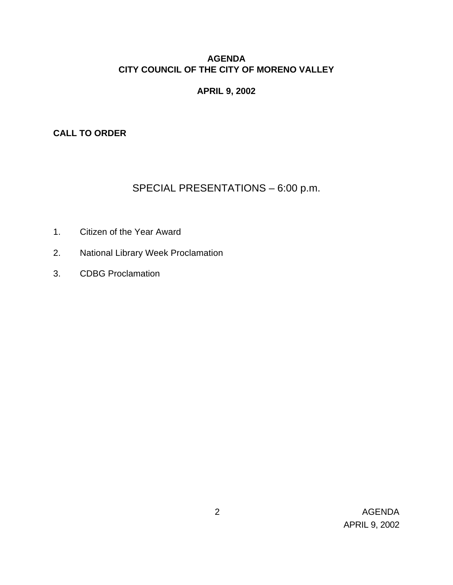#### **AGENDA CITY COUNCIL OF THE CITY OF MORENO VALLEY**

# **APRIL 9, 2002**

**CALL TO ORDER**

# SPECIAL PRESENTATIONS – 6:00 p.m.

- 1. Citizen of the Year Award
- 2. National Library Week Proclamation
- 3. CDBG Proclamation

 2 AGENDA APRIL 9, 2002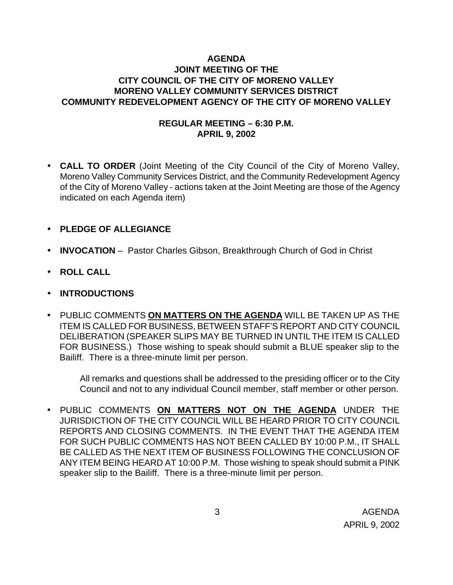# **AGENDA JOINT MEETING OF THE CITY COUNCIL OF THE CITY OF MORENO VALLEY MORENO VALLEY COMMUNITY SERVICES DISTRICT COMMUNITY REDEVELOPMENT AGENCY OF THE CITY OF MORENO VALLEY**

# **REGULAR MEETING – 6:30 P.M. APRIL 9, 2002**

- **CALL TO ORDER** (Joint Meeting of the City Council of the City of Moreno Valley, Moreno Valley Community Services District, and the Community Redevelopment Agency of the City of Moreno Valley - actions taken at the Joint Meeting are those of the Agency indicated on each Agenda item)
- **PLEDGE OF ALLEGIANCE**
- **INVOCATION** Pastor Charles Gibson, Breakthrough Church of God in Christ
- **ROLL CALL**
- **INTRODUCTIONS**
- PUBLIC COMMENTS **ON MATTERS ON THE AGENDA** WILL BE TAKEN UP AS THE ITEM IS CALLED FOR BUSINESS, BETWEEN STAFF'S REPORT AND CITY COUNCIL DELIBERATION (SPEAKER SLIPS MAY BE TURNED IN UNTIL THE ITEM IS CALLED FOR BUSINESS.) Those wishing to speak should submit a BLUE speaker slip to the Bailiff. There is a three-minute limit per person.

All remarks and questions shall be addressed to the presiding officer or to the City Council and not to any individual Council member, staff member or other person.

• PUBLIC COMMENTS **ON MATTERS NOT ON THE AGENDA** UNDER THE JURISDICTION OF THE CITY COUNCIL WILL BE HEARD PRIOR TO CITY COUNCIL REPORTS AND CLOSING COMMENTS. IN THE EVENT THAT THE AGENDA ITEM FOR SUCH PUBLIC COMMENTS HAS NOT BEEN CALLED BY 10:00 P.M., IT SHALL BE CALLED AS THE NEXT ITEM OF BUSINESS FOLLOWING THE CONCLUSION OF ANY ITEM BEING HEARD AT 10:00 P.M. Those wishing to speak should submit a PINK speaker slip to the Bailiff. There is a three-minute limit per person.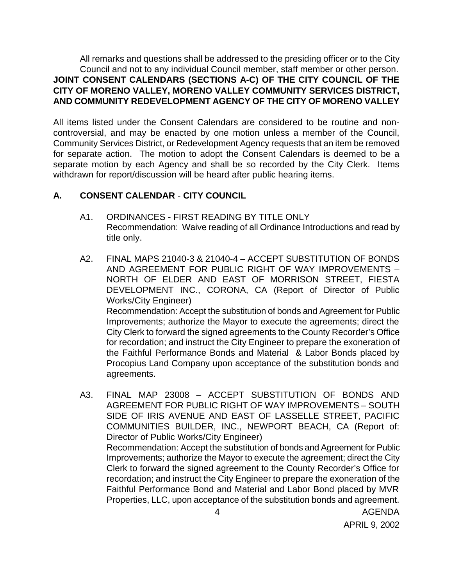All remarks and questions shall be addressed to the presiding officer or to the City Council and not to any individual Council member, staff member or other person. **JOINT CONSENT CALENDARS (SECTIONS A-C) OF THE CITY COUNCIL OF THE CITY OF MORENO VALLEY, MORENO VALLEY COMMUNITY SERVICES DISTRICT, AND COMMUNITY REDEVELOPMENT AGENCY OF THE CITY OF MORENO VALLEY**

All items listed under the Consent Calendars are considered to be routine and noncontroversial, and may be enacted by one motion unless a member of the Council, Community Services District, or Redevelopment Agency requests that an item be removed for separate action. The motion to adopt the Consent Calendars is deemed to be a separate motion by each Agency and shall be so recorded by the City Clerk. Items withdrawn for report/discussion will be heard after public hearing items.

# **A. CONSENT CALENDAR** - **CITY COUNCIL**

- A1. ORDINANCES FIRST READING BY TITLE ONLY Recommendation: Waive reading of all Ordinance Introductions and read by title only.
- A2. FINAL MAPS 21040-3 & 21040-4 ACCEPT SUBSTITUTION OF BONDS AND AGREEMENT FOR PUBLIC RIGHT OF WAY IMPROVEMENTS – NORTH OF ELDER AND EAST OF MORRISON STREET, FIESTA DEVELOPMENT INC., CORONA, CA (Report of Director of Public Works/City Engineer) Recommendation: Accept the substitution of bonds and Agreement for Public Improvements; authorize the Mayor to execute the agreements; direct the City Clerk to forward the signed agreements to the County Recorder's Office for recordation; and instruct the City Engineer to prepare the exoneration of

the Faithful Performance Bonds and Material & Labor Bonds placed by Procopius Land Company upon acceptance of the substitution bonds and agreements.

A3. FINAL MAP 23008 – ACCEPT SUBSTITUTION OF BONDS AND AGREEMENT FOR PUBLIC RIGHT OF WAY IMPROVEMENTS – SOUTH SIDE OF IRIS AVENUE AND EAST OF LASSELLE STREET, PACIFIC COMMUNITIES BUILDER, INC., NEWPORT BEACH, CA (Report of: Director of Public Works/City Engineer) Recommendation: Accept the substitution of bonds and Agreement for Public Improvements; authorize the Mayor to execute the agreement; direct the City Clerk to forward the signed agreement to the County Recorder's Office for recordation; and instruct the City Engineer to prepare the exoneration of the Faithful Performance Bond and Material and Labor Bond placed by MVR Properties, LLC, upon acceptance of the substitution bonds and agreement.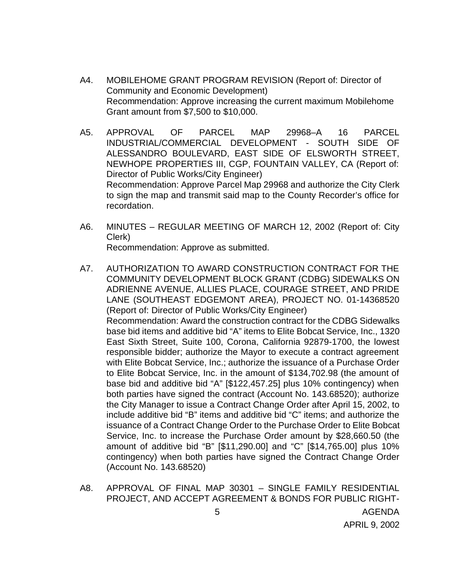- A4. MOBILEHOME GRANT PROGRAM REVISION (Report of: Director of Community and Economic Development) Recommendation: Approve increasing the current maximum Mobilehome Grant amount from \$7,500 to \$10,000.
- A5. APPROVAL OF PARCEL MAP 29968–A 16 PARCEL INDUSTRIAL/COMMERCIAL DEVELOPMENT - SOUTH SIDE OF ALESSANDRO BOULEVARD, EAST SIDE OF ELSWORTH STREET, NEWHOPE PROPERTIES III, CGP, FOUNTAIN VALLEY, CA (Report of: Director of Public Works/City Engineer) Recommendation: Approve Parcel Map 29968 and authorize the City Clerk to sign the map and transmit said map to the County Recorder's office for recordation.
- A6. MINUTES REGULAR MEETING OF MARCH 12, 2002 (Report of: City Clerk) Recommendation: Approve as submitted.
- A7. AUTHORIZATION TO AWARD CONSTRUCTION CONTRACT FOR THE COMMUNITY DEVELOPMENT BLOCK GRANT (CDBG) SIDEWALKS ON ADRIENNE AVENUE, ALLIES PLACE, COURAGE STREET, AND PRIDE LANE (SOUTHEAST EDGEMONT AREA), PROJECT NO. 01-14368520 (Report of: Director of Public Works/City Engineer) Recommendation: Award the construction contract for the CDBG Sidewalks base bid items and additive bid "A" items to Elite Bobcat Service, Inc., 1320 East Sixth Street, Suite 100, Corona, California 92879-1700, the lowest responsible bidder; authorize the Mayor to execute a contract agreement with Elite Bobcat Service, Inc.; authorize the issuance of a Purchase Order to Elite Bobcat Service, Inc. in the amount of \$134,702.98 (the amount of base bid and additive bid "A" [\$122,457.25] plus 10% contingency) when both parties have signed the contract (Account No. 143.68520); authorize the City Manager to issue a Contract Change Order after April 15, 2002, to include additive bid "B" items and additive bid "C" items; and authorize the issuance of a Contract Change Order to the Purchase Order to Elite Bobcat Service, Inc. to increase the Purchase Order amount by \$28,660.50 (the amount of additive bid "B" [\$11,290.00] and "C" [\$14,765.00] plus 10% contingency) when both parties have signed the Contract Change Order (Account No. 143.68520)
- A8. APPROVAL OF FINAL MAP 30301 SINGLE FAMILY RESIDENTIAL PROJECT, AND ACCEPT AGREEMENT & BONDS FOR PUBLIC RIGHT-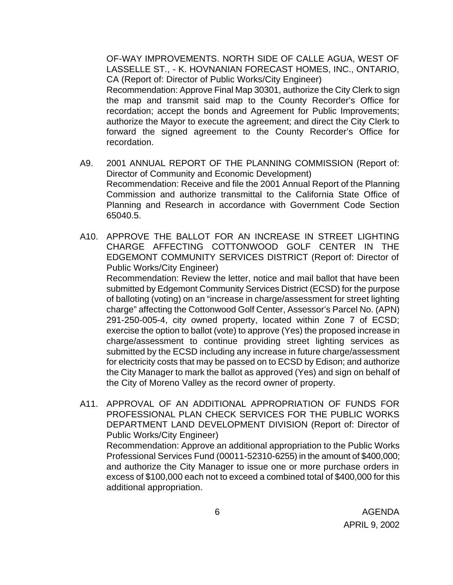OF-WAY IMPROVEMENTS. NORTH SIDE OF CALLE AGUA, WEST OF LASSELLE ST., - K. HOVNANIAN FORECAST HOMES, INC., ONTARIO, CA (Report of: Director of Public Works/City Engineer)

Recommendation: Approve Final Map 30301, authorize the City Clerk to sign the map and transmit said map to the County Recorder's Office for recordation; accept the bonds and Agreement for Public Improvements; authorize the Mayor to execute the agreement; and direct the City Clerk to forward the signed agreement to the County Recorder's Office for recordation.

- A9. 2001 ANNUAL REPORT OF THE PLANNING COMMISSION (Report of: Director of Community and Economic Development) Recommendation: Receive and file the 2001 Annual Report of the Planning Commission and authorize transmittal to the California State Office of Planning and Research in accordance with Government Code Section 65040.5.
- A10. APPROVE THE BALLOT FOR AN INCREASE IN STREET LIGHTING CHARGE AFFECTING COTTONWOOD GOLF CENTER IN THE EDGEMONT COMMUNITY SERVICES DISTRICT (Report of: Director of Public Works/City Engineer)

Recommendation: Review the letter, notice and mail ballot that have been submitted by Edgemont Community Services District (ECSD) for the purpose of balloting (voting) on an "increase in charge/assessment for street lighting charge" affecting the Cottonwood Golf Center, Assessor's Parcel No. (APN) 291-250-005-4, city owned property, located within Zone 7 of ECSD; exercise the option to ballot (vote) to approve (Yes) the proposed increase in charge/assessment to continue providing street lighting services as submitted by the ECSD including any increase in future charge/assessment for electricity costs that may be passed on to ECSD by Edison; and authorize the City Manager to mark the ballot as approved (Yes) and sign on behalf of the City of Moreno Valley as the record owner of property.

A11. APPROVAL OF AN ADDITIONAL APPROPRIATION OF FUNDS FOR PROFESSIONAL PLAN CHECK SERVICES FOR THE PUBLIC WORKS DEPARTMENT LAND DEVELOPMENT DIVISION (Report of: Director of Public Works/City Engineer)

Recommendation: Approve an additional appropriation to the Public Works Professional Services Fund (00011-52310-6255) in the amount of \$400,000; and authorize the City Manager to issue one or more purchase orders in excess of \$100,000 each not to exceed a combined total of \$400,000 for this additional appropriation.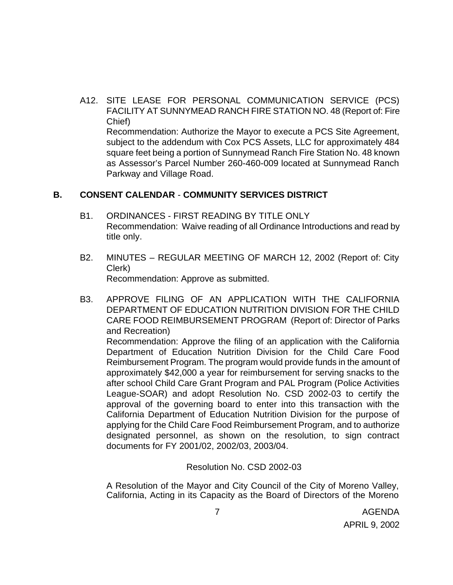A12. SITE LEASE FOR PERSONAL COMMUNICATION SERVICE (PCS) FACILITY AT SUNNYMEAD RANCH FIRE STATION NO. 48 (Report of: Fire Chief) Recommendation: Authorize the Mayor to execute a PCS Site Agreement, subject to the addendum with Cox PCS Assets, LLC for approximately 484

square feet being a portion of Sunnymead Ranch Fire Station No. 48 known as Assessor's Parcel Number 260-460-009 located at Sunnymead Ranch Parkway and Village Road.

#### **B. CONSENT CALENDAR** - **COMMUNITY SERVICES DISTRICT**

- B1. ORDINANCES FIRST READING BY TITLE ONLY Recommendation: Waive reading of all Ordinance Introductions and read by title only.
- B2. MINUTES REGULAR MEETING OF MARCH 12, 2002 (Report of: City Clerk) Recommendation: Approve as submitted.
- B3. APPROVE FILING OF AN APPLICATION WITH THE CALIFORNIA DEPARTMENT OF EDUCATION NUTRITION DIVISION FOR THE CHILD CARE FOOD REIMBURSEMENT PROGRAM (Report of: Director of Parks and Recreation)

Recommendation: Approve the filing of an application with the California Department of Education Nutrition Division for the Child Care Food Reimbursement Program. The program would provide funds in the amount of approximately \$42,000 a year for reimbursement for serving snacks to the after school Child Care Grant Program and PAL Program (Police Activities League-SOAR) and adopt Resolution No. CSD 2002-03 to certify the approval of the governing board to enter into this transaction with the California Department of Education Nutrition Division for the purpose of applying for the Child Care Food Reimbursement Program, and to authorize designated personnel, as shown on the resolution, to sign contract documents for FY 2001/02, 2002/03, 2003/04.

#### Resolution No. CSD 2002-03

A Resolution of the Mayor and City Council of the City of Moreno Valley, California, Acting in its Capacity as the Board of Directors of the Moreno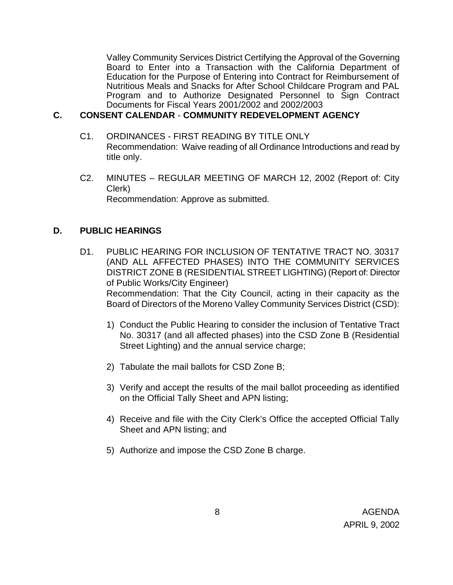Valley Community Services District Certifying the Approval of the Governing Board to Enter into a Transaction with the California Department of Education for the Purpose of Entering into Contract for Reimbursement of Nutritious Meals and Snacks for After School Childcare Program and PAL Program and to Authorize Designated Personnel to Sign Contract Documents for Fiscal Years 2001/2002 and 2002/2003

#### **C. CONSENT CALENDAR** - **COMMUNITY REDEVELOPMENT AGENCY**

- C1. ORDINANCES FIRST READING BY TITLE ONLY Recommendation: Waive reading of all Ordinance Introductions and read by title only.
- C2. MINUTES REGULAR MEETING OF MARCH 12, 2002 (Report of: City Clerk) Recommendation: Approve as submitted.

#### **D. PUBLIC HEARINGS**

- D1. PUBLIC HEARING FOR INCLUSION OF TENTATIVE TRACT NO. 30317 (AND ALL AFFECTED PHASES) INTO THE COMMUNITY SERVICES DISTRICT ZONE B (RESIDENTIAL STREET LIGHTING) (Report of: Director of Public Works/City Engineer) Recommendation: That the City Council, acting in their capacity as the Board of Directors of the Moreno Valley Community Services District (CSD):
	- 1) Conduct the Public Hearing to consider the inclusion of Tentative Tract No. 30317 (and all affected phases) into the CSD Zone B (Residential Street Lighting) and the annual service charge;
	- 2) Tabulate the mail ballots for CSD Zone B;
	- 3) Verify and accept the results of the mail ballot proceeding as identified on the Official Tally Sheet and APN listing;
	- 4) Receive and file with the City Clerk's Office the accepted Official Tally Sheet and APN listing; and
	- 5) Authorize and impose the CSD Zone B charge.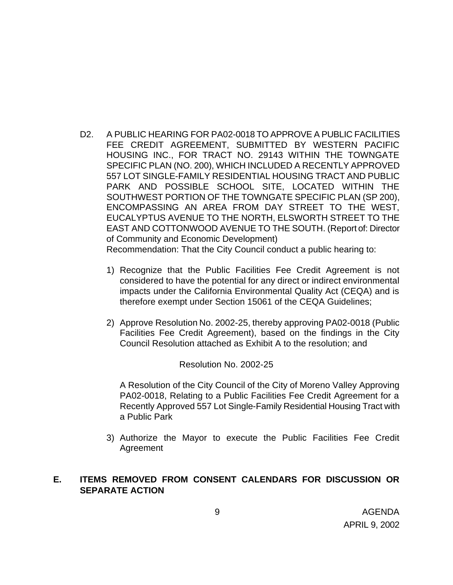D2. A PUBLIC HEARING FOR PA02-0018 TO APPROVE A PUBLIC FACILITIES FEE CREDIT AGREEMENT, SUBMITTED BY WESTERN PACIFIC HOUSING INC., FOR TRACT NO. 29143 WITHIN THE TOWNGATE SPECIFIC PLAN (NO. 200), WHICH INCLUDED A RECENTLY APPROVED 557 LOT SINGLE-FAMILY RESIDENTIAL HOUSING TRACT AND PUBLIC PARK AND POSSIBLE SCHOOL SITE, LOCATED WITHIN THE SOUTHWEST PORTION OF THE TOWNGATE SPECIFIC PLAN (SP 200), ENCOMPASSING AN AREA FROM DAY STREET TO THE WEST, EUCALYPTUS AVENUE TO THE NORTH, ELSWORTH STREET TO THE EAST AND COTTONWOOD AVENUE TO THE SOUTH. (Report of: Director of Community and Economic Development)

Recommendation: That the City Council conduct a public hearing to:

- 1) Recognize that the Public Facilities Fee Credit Agreement is not considered to have the potential for any direct or indirect environmental impacts under the California Environmental Quality Act (CEQA) and is therefore exempt under Section 15061 of the CEQA Guidelines;
- 2) Approve Resolution No. 2002-25, thereby approving PA02-0018 (Public Facilities Fee Credit Agreement), based on the findings in the City Council Resolution attached as Exhibit A to the resolution; and

Resolution No. 2002-25

A Resolution of the City Council of the City of Moreno Valley Approving PA02-0018, Relating to a Public Facilities Fee Credit Agreement for a Recently Approved 557 Lot Single-Family Residential Housing Tract with a Public Park

3) Authorize the Mayor to execute the Public Facilities Fee Credit Agreement

# **E. ITEMS REMOVED FROM CONSENT CALENDARS FOR DISCUSSION OR SEPARATE ACTION**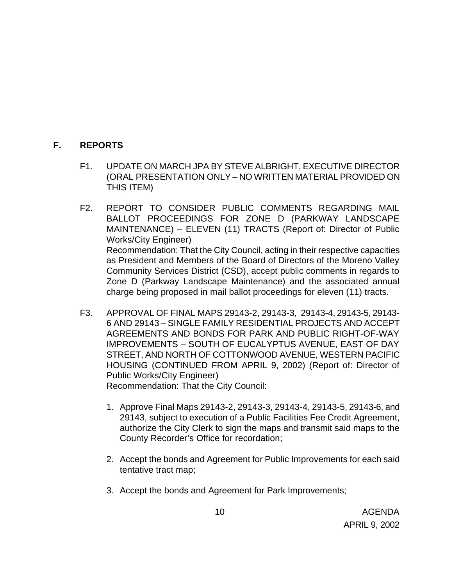### **F. REPORTS**

- F1. UPDATE ON MARCH JPA BY STEVE ALBRIGHT, EXECUTIVE DIRECTOR (ORAL PRESENTATION ONLY – NO WRITTEN MATERIAL PROVIDED ON THIS ITEM)
- F2. REPORT TO CONSIDER PUBLIC COMMENTS REGARDING MAIL BALLOT PROCEEDINGS FOR ZONE D (PARKWAY LANDSCAPE MAINTENANCE) – ELEVEN (11) TRACTS (Report of: Director of Public Works/City Engineer) Recommendation: That the City Council, acting in their respective capacities as President and Members of the Board of Directors of the Moreno Valley Community Services District (CSD), accept public comments in regards to Zone D (Parkway Landscape Maintenance) and the associated annual charge being proposed in mail ballot proceedings for eleven (11) tracts.
- F3. APPROVAL OF FINAL MAPS 29143-2, 29143-3, 29143-4, 29143-5, 29143- 6 AND 29143 – SINGLE FAMILY RESIDENTIAL PROJECTS AND ACCEPT AGREEMENTS AND BONDS FOR PARK AND PUBLIC RIGHT-OF-WAY IMPROVEMENTS – SOUTH OF EUCALYPTUS AVENUE, EAST OF DAY STREET, AND NORTH OF COTTONWOOD AVENUE, WESTERN PACIFIC HOUSING (CONTINUED FROM APRIL 9, 2002) (Report of: Director of Public Works/City Engineer) Recommendation: That the City Council:
	- 1. Approve Final Maps 29143-2, 29143-3, 29143-4, 29143-5, 29143-6, and 29143, subject to execution of a Public Facilities Fee Credit Agreement, authorize the City Clerk to sign the maps and transmit said maps to the County Recorder's Office for recordation;
	- 2. Accept the bonds and Agreement for Public Improvements for each said tentative tract map;
	- 3. Accept the bonds and Agreement for Park Improvements;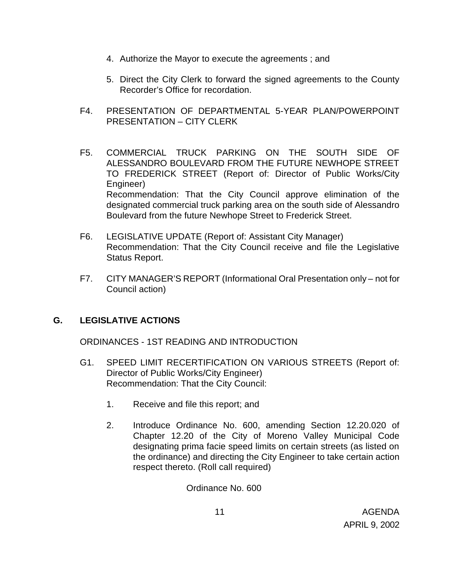- 4. Authorize the Mayor to execute the agreements ; and
- 5. Direct the City Clerk to forward the signed agreements to the County Recorder's Office for recordation.
- F4. PRESENTATION OF DEPARTMENTAL 5-YEAR PLAN/POWERPOINT PRESENTATION – CITY CLERK
- F5. COMMERCIAL TRUCK PARKING ON THE SOUTH SIDE OF ALESSANDRO BOULEVARD FROM THE FUTURE NEWHOPE STREET TO FREDERICK STREET (Report of: Director of Public Works/City Engineer) Recommendation: That the City Council approve elimination of the designated commercial truck parking area on the south side of Alessandro Boulevard from the future Newhope Street to Frederick Street.
- F6. LEGISLATIVE UPDATE (Report of: Assistant City Manager) Recommendation: That the City Council receive and file the Legislative Status Report.
- F7. CITY MANAGER'S REPORT (Informational Oral Presentation only not for Council action)

# **G. LEGISLATIVE ACTIONS**

ORDINANCES - 1ST READING AND INTRODUCTION

- G1. SPEED LIMIT RECERTIFICATION ON VARIOUS STREETS (Report of: Director of Public Works/City Engineer) Recommendation: That the City Council:
	- 1. Receive and file this report; and
	- 2. Introduce Ordinance No. 600, amending Section 12.20.020 of Chapter 12.20 of the City of Moreno Valley Municipal Code designating prima facie speed limits on certain streets (as listed on the ordinance) and directing the City Engineer to take certain action respect thereto. (Roll call required)

Ordinance No. 600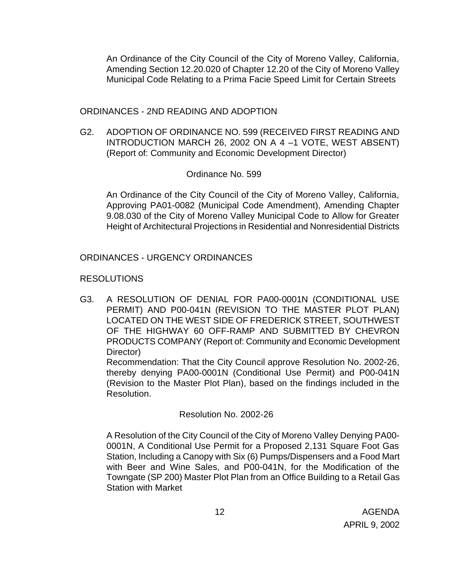An Ordinance of the City Council of the City of Moreno Valley, California, Amending Section 12.20.020 of Chapter 12.20 of the City of Moreno Valley Municipal Code Relating to a Prima Facie Speed Limit for Certain Streets

ORDINANCES - 2ND READING AND ADOPTION

G2. ADOPTION OF ORDINANCE NO. 599 (RECEIVED FIRST READING AND INTRODUCTION MARCH 26, 2002 ON A 4 –1 VOTE, WEST ABSENT) (Report of: Community and Economic Development Director)

#### Ordinance No. 599

An Ordinance of the City Council of the City of Moreno Valley, California, Approving PA01-0082 (Municipal Code Amendment), Amending Chapter 9.08.030 of the City of Moreno Valley Municipal Code to Allow for Greater Height of Architectural Projections in Residential and Nonresidential Districts

#### ORDINANCES - URGENCY ORDINANCES

#### RESOLUTIONS

G3. A RESOLUTION OF DENIAL FOR PA00-0001N (CONDITIONAL USE PERMIT) AND P00-041N (REVISION TO THE MASTER PLOT PLAN) LOCATED ON THE WEST SIDE OF FREDERICK STREET, SOUTHWEST OF THE HIGHWAY 60 OFF-RAMP AND SUBMITTED BY CHEVRON PRODUCTS COMPANY (Report of: Community and Economic Development Director)

Recommendation: That the City Council approve Resolution No. 2002-26, thereby denying PA00-0001N (Conditional Use Permit) and P00-041N (Revision to the Master Plot Plan), based on the findings included in the Resolution.

# Resolution No. 2002-26

A Resolution of the City Council of the City of Moreno Valley Denying PA00- 0001N, A Conditional Use Permit for a Proposed 2,131 Square Foot Gas Station, Including a Canopy with Six (6) Pumps/Dispensers and a Food Mart with Beer and Wine Sales, and P00-041N, for the Modification of the Towngate (SP 200) Master Plot Plan from an Office Building to a Retail Gas Station with Market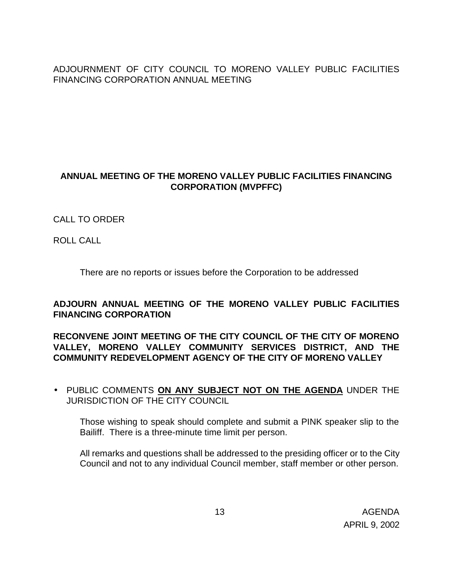ADJOURNMENT OF CITY COUNCIL TO MORENO VALLEY PUBLIC FACILITIES FINANCING CORPORATION ANNUAL MEETING

# **ANNUAL MEETING OF THE MORENO VALLEY PUBLIC FACILITIES FINANCING CORPORATION (MVPFFC)**

# CALL TO ORDER

ROLL CALL

There are no reports or issues before the Corporation to be addressed

# **ADJOURN ANNUAL MEETING OF THE MORENO VALLEY PUBLIC FACILITIES FINANCING CORPORATION**

**RECONVENE JOINT MEETING OF THE CITY COUNCIL OF THE CITY OF MORENO VALLEY, MORENO VALLEY COMMUNITY SERVICES DISTRICT, AND THE COMMUNITY REDEVELOPMENT AGENCY OF THE CITY OF MORENO VALLEY**

• PUBLIC COMMENTS **ON ANY SUBJECT NOT ON THE AGENDA** UNDER THE JURISDICTION OF THE CITY COUNCIL

Those wishing to speak should complete and submit a PINK speaker slip to the Bailiff. There is a three-minute time limit per person.

All remarks and questions shall be addressed to the presiding officer or to the City Council and not to any individual Council member, staff member or other person.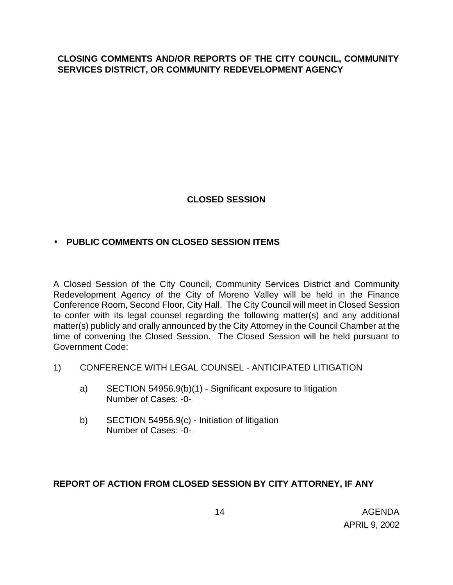### **CLOSING COMMENTS AND/OR REPORTS OF THE CITY COUNCIL, COMMUNITY SERVICES DISTRICT, OR COMMUNITY REDEVELOPMENT AGENCY**

# **CLOSED SESSION**

# • **PUBLIC COMMENTS ON CLOSED SESSION ITEMS**

A Closed Session of the City Council, Community Services District and Community Redevelopment Agency of the City of Moreno Valley will be held in the Finance Conference Room, Second Floor, City Hall. The City Council will meet in Closed Session to confer with its legal counsel regarding the following matter(s) and any additional matter(s) publicly and orally announced by the City Attorney in the Council Chamber at the time of convening the Closed Session. The Closed Session will be held pursuant to Government Code:

- 1) CONFERENCE WITH LEGAL COUNSEL ANTICIPATED LITIGATION
	- a) SECTION 54956.9(b)(1) Significant exposure to litigation Number of Cases: -0-
	- b) SECTION 54956.9(c) Initiation of litigation Number of Cases: -0-

# **REPORT OF ACTION FROM CLOSED SESSION BY CITY ATTORNEY, IF ANY**